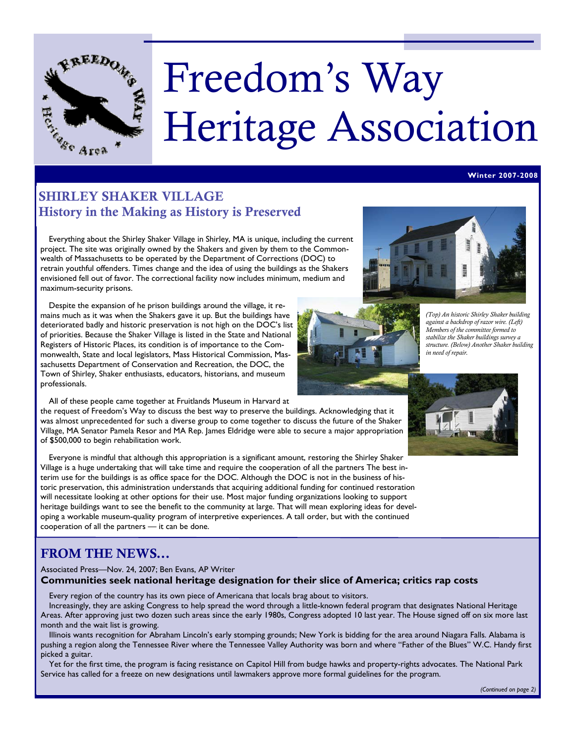

# Freedom's Way Heritage Association

# SHIRLEY SHAKER VILLAGE History in the Making as History is Preserved

 Everything about the Shirley Shaker Village in Shirley, MA is unique, including the current project. The site was originally owned by the Shakers and given by them to the Commonwealth of Massachusetts to be operated by the Department of Corrections (DOC) to retrain youthful offenders. Times change and the idea of using the buildings as the Shakers envisioned fell out of favor. The correctional facility now includes minimum, medium and maximum-security prisons.

 Despite the expansion of he prison buildings around the village, it remains much as it was when the Shakers gave it up. But the buildings have deteriorated badly and historic preservation is not high on the DOC's list of priorities. Because the Shaker Village is listed in the State and National Registers of Historic Places, its condition is of importance to the Commonwealth, State and local legislators, Mass Historical Commission, Massachusetts Department of Conservation and Recreation, the DOC, the Town of Shirley, Shaker enthusiasts, educators, historians, and museum professionals.

All of these people came together at Fruitlands Museum in Harvard at

the request of Freedom's Way to discuss the best way to preserve the buildings. Acknowledging that it was almost unprecedented for such a diverse group to come together to discuss the future of the Shaker Village, MA Senator Pamela Resor and MA Rep. James Eldridge were able to secure a major appropriation of \$500,000 to begin rehabilitation work.

 Everyone is mindful that although this appropriation is a significant amount, restoring the Shirley Shaker Village is a huge undertaking that will take time and require the cooperation of all the partners The best interim use for the buildings is as office space for the DOC. Although the DOC is not in the business of historic preservation, this administration understands that acquiring additional funding for continued restoration will necessitate looking at other options for their use. Most major funding organizations looking to support heritage buildings want to see the benefit to the community at large. That will mean exploring ideas for developing a workable museum-quality program of interpretive experiences. A tall order, but with the continued cooperation of all the partners — it can be done.

# FROM THE NEWS...

### Associated Press—Nov. 24, 2007; Ben Evans, AP Writer **Communities seek national heritage designation for their slice of America; critics rap costs**

Every region of the country has its own piece of Americana that locals brag about to visitors.

 Increasingly, they are asking Congress to help spread the word through a little-known federal program that designates National Heritage Areas. After approving just two dozen such areas since the early 1980s, Congress adopted 10 last year. The House signed off on six more last month and the wait list is growing.

 Illinois wants recognition for Abraham Lincoln's early stomping grounds; New York is bidding for the area around Niagara Falls. Alabama is pushing a region along the Tennessee River where the Tennessee Valley Authority was born and where "Father of the Blues" W.C. Handy first picked a guitar.

 Yet for the first time, the program is facing resistance on Capitol Hill from budge hawks and property-rights advocates. The National Park Service has called for a freeze on new designations until lawmakers approve more formal guidelines for the program.





*(Top) An historic Shirley Shaker building against a backdrop of razor wire. (Left) Members of the committee formed to stabilize the Shaker buildings survey a structure. (Below) Another Shaker building in need of repair.* 

**Winter 2007-2008** 



*(Continued on page 2)*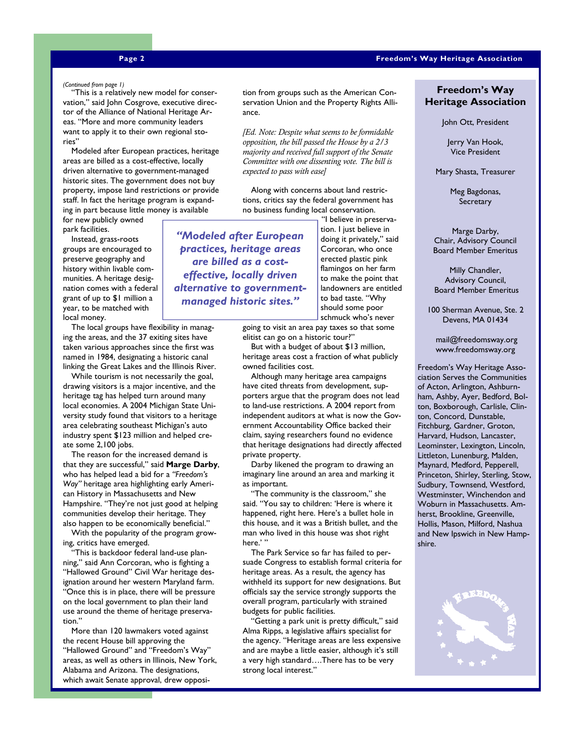### **Page 2 Freedom's Way Heritage Association**

 "This is a relatively new model for conser-*(Continued from page 1)*  vation," said John Cosgrove, executive director of the Alliance of National Heritage Areas. "More and more community leaders want to apply it to their own regional stories"

 Modeled after European practices, heritage areas are billed as a cost-effective, locally driven alternative to government-managed historic sites. The government does not buy property, impose land restrictions or provide staff. In fact the heritage program is expanding in part because little money is available

for new publicly owned park facilities.

 Instead, grass-roots groups are encouraged to preserve geography and history within livable communities. A heritage designation comes with a federal grant of up to \$1 million a year, to be matched with local money.

 The local groups have flexibility in managing the areas, and the 37 exiting sites have taken various approaches since the first was named in 1984, designating a historic canal linking the Great Lakes and the Illinois River.

 While tourism is not necessarily the goal, drawing visitors is a major incentive, and the heritage tag has helped turn around many local economies. A 2004 Michigan State University study found that visitors to a heritage area celebrating southeast Michigan's auto industry spent \$123 million and helped create some 2,100 jobs.

 The reason for the increased demand is that they are successful," said **Marge Darby**, who has helped lead a bid for a *"Freedom's Way"* heritage area highlighting early American History in Massachusetts and New Hampshire. "They're not just good at helping communities develop their heritage. They also happen to be economically beneficial."

With the popularity of the program growing, critics have emerged.

This is backdoor federal land-use planning," said Ann Corcoran, who is fighting a "Hallowed Ground" Civil War heritage designation around her western Maryland farm. "Once this is in place, there will be pressure on the local government to plan their land use around the theme of heritage preservation."

 More than 120 lawmakers voted against the recent House bill approving the "Hallowed Ground" and "Freedom's Way" areas, as well as others in Illinois, New York, Alabama and Arizona. The designations, which await Senate approval, drew opposi-

tion from groups such as the American Conservation Union and the Property Rights Alliance.

*[Ed. Note: Despite what seems to be formidable opposition, the bill passed the House by a 2/3 majority and received full support of the Senate Committee with one dissenting vote. The bill is expected to pass with ease]* 

 Along with concerns about land restrictions, critics say the federal government has no business funding local conservation.

*"Modeled after European practices, heritage areas are billed as a costeffective, locally driven alternative to governmentmanaged historic sites."* 

 "I believe in preservation. I just believe in doing it privately," said Corcoran, who once erected plastic pink flamingos on her farm to make the point that landowners are entitled to bad taste. "Why should some poor schmuck who's never

going to visit an area pay taxes so that some elitist can go on a historic tour?"

 But with a budget of about \$13 million, heritage areas cost a fraction of what publicly owned facilities cost.

 Although many heritage area campaigns have cited threats from development, supporters argue that the program does not lead to land-use restrictions. A 2004 report from independent auditors at what is now the Government Accountability Office backed their claim, saying researchers found no evidence that heritage designations had directly affected private property.

 Darby likened the program to drawing an imaginary line around an area and marking it as important.

 "The community is the classroom," she said. "You say to children: 'Here is where it happened, right here. Here's a bullet hole in this house, and it was a British bullet, and the man who lived in this house was shot right here.''

 The Park Service so far has failed to persuade Congress to establish formal criteria for heritage areas. As a result, the agency has withheld its support for new designations. But officials say the service strongly supports the overall program, particularly with strained budgets for public facilities.

 "Getting a park unit is pretty difficult," said Alma Ripps, a legislative affairs specialist for the agency. "Heritage areas are less expensive and are maybe a little easier, although it's still a very high standard….There has to be very strong local interest."

### **Freedom's Way Heritage Association**

John Ott, President

Jerry Van Hook, Vice President

Mary Shasta, Treasurer

Meg Bagdonas, **Secretary** 

Marge Darby, Chair, Advisory Council Board Member Emeritus

Milly Chandler, Advisory Council, Board Member Emeritus

100 Sherman Avenue, Ste. 2 Devens, MA 01434

 mail@freedomsway.org www.freedomsway.org

Freedom's Way Heritage Association Serves the Communities of Acton, Arlington, Ashburnham, Ashby, Ayer, Bedford, Bolton, Boxborough, Carlisle, Clinton, Concord, Dunstable, Fitchburg, Gardner, Groton, Harvard, Hudson, Lancaster, Leominster, Lexington, Lincoln, Littleton, Lunenburg, Malden, Maynard, Medford, Pepperell, Princeton, Shirley, Sterling, Stow, Sudbury, Townsend, Westford, Westminster, Winchendon and Woburn in Massachusetts. Amherst, Brookline, Greenville, Hollis, Mason, Milford, Nashua and New Ipswich in New Hampshire.

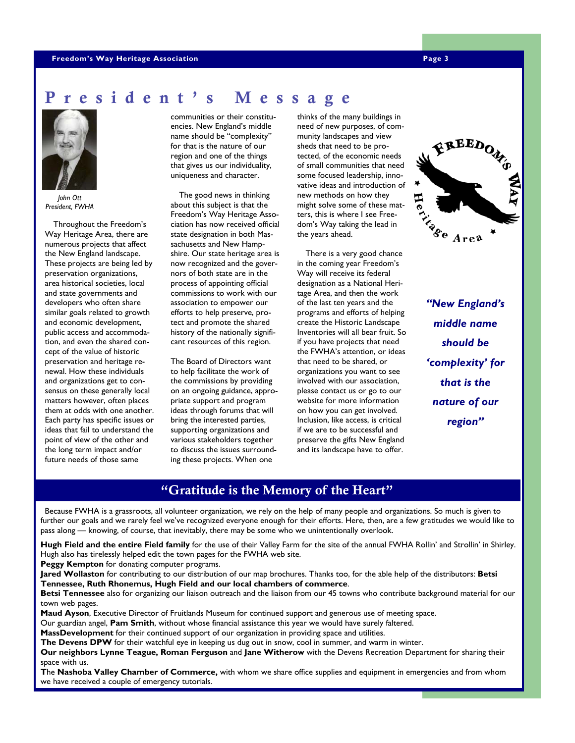### **Freedom's Way Heritage Association Page 3 Page 3 Page 3**

# sident's Message



*John Ott President, FWHA* 

 Throughout the Freedom's Way Heritage Area, there are numerous projects that affect the New England landscape. These projects are being led by preservation organizations, area historical societies, local and state governments and developers who often share similar goals related to growth and economic development, public access and accommodation, and even the shared concept of the value of historic preservation and heritage renewal. How these individuals and organizations get to consensus on these generally local matters however, often places them at odds with one another. Each party has specific issues or ideas that fail to understand the point of view of the other and the long term impact and/or future needs of those same

communities or their constituencies. New England's middle name should be "complexity" for that is the nature of our region and one of the things that gives us our individuality, uniqueness and character.

 The good news in thinking about this subject is that the Freedom's Way Heritage Association has now received official state designation in both Massachusetts and New Hampshire. Our state heritage area is now recognized and the governors of both state are in the process of appointing official commissions to work with our association to empower our efforts to help preserve, protect and promote the shared history of the nationally significant resources of this region.

The Board of Directors want to help facilitate the work of the commissions by providing on an ongoing guidance, appropriate support and program ideas through forums that will bring the interested parties, supporting organizations and various stakeholders together to discuss the issues surrounding these projects. When one

thinks of the many buildings in need of new purposes, of community landscapes and view sheds that need to be protected, of the economic needs of small communities that need some focused leadership, innovative ideas and introduction of new methods on how they might solve some of these matters, this is where I see Freedom's Way taking the lead in the years ahead.

 There is a very good chance in the coming year Freedom's Way will receive its federal designation as a National Heritage Area, and then the work of the last ten years and the programs and efforts of helping create the Historic Landscape Inventories will all bear fruit. So if you have projects that need the FWHA's attention, or ideas that need to be shared, or organizations you want to see involved with our association, please contact us or go to our website for more information on how you can get involved. Inclusion, like access, is critical if we are to be successful and preserve the gifts New England and its landscape have to offer.



*"New England's middle name should be 'complexity' for that is the nature of our region"* 

# "Gratitude is the Memory of the Heart"

 Because FWHA is a grassroots, all volunteer organization, we rely on the help of many people and organizations. So much is given to further our goals and we rarely feel we've recognized everyone enough for their efforts. Here, then, are a few gratitudes we would like to pass along — knowing, of course, that inevitably, there may be some who we unintentionally overlook.

**Hugh Field and the entire Field family** for the use of their Valley Farm for the site of the annual FWHA Rollin' and Strollin' in Shirley. Hugh also has tirelessly helped edit the town pages for the FWHA web site.

**Peggy Kempton** for donating computer programs.

**Jared Wollaston** for contributing to our distribution of our map brochures. Thanks too, for the able help of the distributors: **Betsi Tennessee, Ruth Rhonemus, Hugh Field and our local chambers of commerce**.

**Betsi Tennessee** also for organizing our liaison outreach and the liaison from our 45 towns who contribute background material for our town web pages.

**Maud Ayson**, Executive Director of Fruitlands Museum for continued support and generous use of meeting space.

Our guardian angel, **Pam Smith**, without whose financial assistance this year we would have surely faltered.

**MassDevelopment** for their continued support of our organization in providing space and utilities.

**The Devens DPW** for their watchful eye in keeping us dug out in snow, cool in summer, and warm in winter.

**Our neighbors Lynne Teague, Roman Ferguson** and **Jane Witherow** with the Devens Recreation Department for sharing their space with us.

**T**he **Nashoba Valley Chamber of Commerce,** with whom we share office supplies and equipment in emergencies and from whom we have received a couple of emergency tutorials.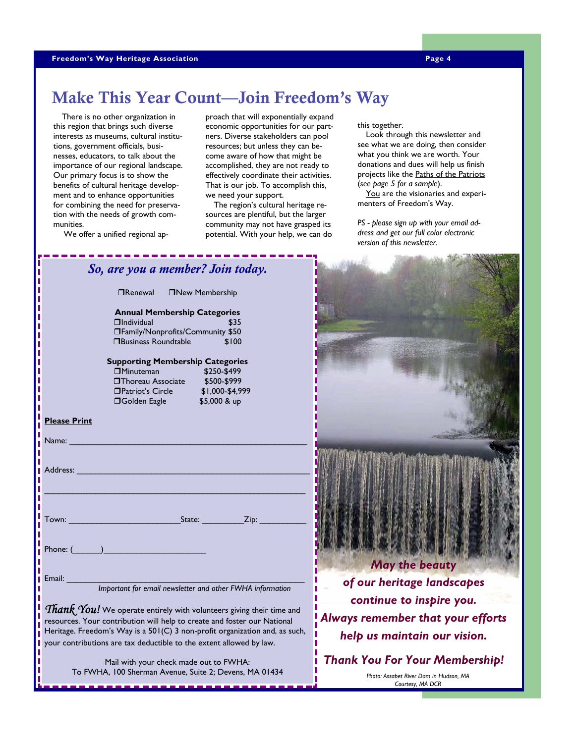# Make This Year Count—Join Freedom's Way

 There is no other organization in this region that brings such diverse interests as museums, cultural institutions, government officials, businesses, educators, to talk about the importance of our regional landscape. Our primary focus is to show the benefits of cultural heritage development and to enhance opportunities for combining the need for preservation with the needs of growth communities.

proach that will exponentially expand economic opportunities for our partners. Diverse stakeholders can pool resources; but unless they can become aware of how that might be accomplished, they are not ready to effectively coordinate their activities. That is our job. To accomplish this, we need your support.

 The region's cultural heritage resources are plentiful, but the larger community may not have grasped its potential. With your help, we can do this together.

 Look through this newsletter and see what we are doing, then consider what you think we are worth. Your donations and dues will help us finish projects like the Paths of the Patriots (*see page 5 for a sample*).

 You are the visionaries and experimenters of Freedom's Way.

*PS - please sign up with your email address and get our full color electronic version of this newsletter.*

| Join today.                                                                                                    |                                                                                                     |
|----------------------------------------------------------------------------------------------------------------|-----------------------------------------------------------------------------------------------------|
| bership<br>egories<br>\$35<br>unity \$50                                                                       |                                                                                                     |
| \$100<br>ategories                                                                                             |                                                                                                     |
| 150-\$499<br>600-\$999<br>000-\$4,999<br>000 & up                                                              |                                                                                                     |
|                                                                                                                |                                                                                                     |
| Zip:                                                                                                           | <b>May the beauty</b>                                                                               |
| other FWHA information                                                                                         | of our heritage landscapes<br>continue to inspire you.                                              |
| teers giving their time and<br>and foster our National<br>it organization and, as such,<br>ent allowed by law. | Always remember that your efforts<br>help us maintain our vision.                                   |
| to FWHA:<br>2; Devens, MA 01434                                                                                | <b>Thank You For Your Membership!</b><br>Photo: Assabet River Dam in Hudson, MA<br>Courtesy, MA DCR |

We offer a unified regional ap-

# $\Box$ Renewal  $\Box$ New Mem

*So, are you a member?* 

**Annual Membership Cat**  $\Box$ Individual

### **TFamily/Nonprofits/Community**  $\Box$ Business Roundtable

### **Supporting Membership Categories**

| \$250-\$499     |
|-----------------|
| \$500-\$999     |
| \$1,000-\$4,999 |
| \$5,000 & up    |
|                 |

### **Please Print**

| Name:                                                                                                                                                                                                                                                                                |
|--------------------------------------------------------------------------------------------------------------------------------------------------------------------------------------------------------------------------------------------------------------------------------------|
| Address: No. 1996. The Commission of the Commission of the Commission of the Commission of the Commission of the Commission of the Commission of the Commission of the Commission of the Commission of the Commission of the C                                                       |
|                                                                                                                                                                                                                                                                                      |
| State: <u>Zip: Zip:</u>                                                                                                                                                                                                                                                              |
| Phone: ( )                                                                                                                                                                                                                                                                           |
| Important for email newsletter and other FWHA information                                                                                                                                                                                                                            |
| Thank You! We operate entirely with volunteers giving their time and<br>resources. Your contribution will help to create and foster our National<br>$\mathbf{H}$ is the state of $\mathbf{H}$ is the state of $\mathbf{H}$ is the state of $\mathbf{H}$ is the state of $\mathbf{H}$ |

Heritage. Freedom's Way is a  $501(C)$  3 non-prof your contributions are tax deductible to the exte

> Mail with your check made out To FWHA, 100 Sherman Avenue, Suite 2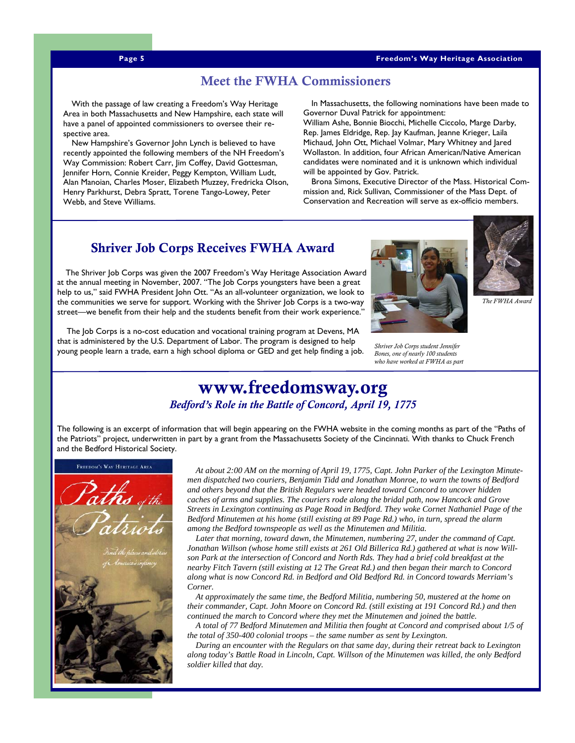**Page 5 Freedom's Way Heritage Association** 

### Meet the FWHA Commissioners

 With the passage of law creating a Freedom's Way Heritage Area in both Massachusetts and New Hampshire, each state will have a panel of appointed commissioners to oversee their respective area.

 New Hampshire's Governor John Lynch is believed to have recently appointed the following members of the NH Freedom's Way Commission: Robert Carr, Jim Coffey, David Gottesman, Jennifer Horn, Connie Kreider, Peggy Kempton, William Ludt, Alan Manoian, Charles Moser, Elizabeth Muzzey, Fredricka Olson, Henry Parkhurst, Debra Spratt, Torene Tango-Lowey, Peter Webb, and Steve Williams.

 In Massachusetts, the following nominations have been made to Governor Duval Patrick for appointment:

William Ashe, Bonnie Biocchi, Michelle Ciccolo, Marge Darby, Rep. James Eldridge, Rep. Jay Kaufman, Jeanne Krieger, Laila Michaud, John Ott, Michael Volmar, Mary Whitney and Jared Wollaston. In addition, four African American/Native American candidates were nominated and it is unknown which individual will be appointed by Gov. Patrick.

 Brona Simons, Executive Director of the Mass. Historical Commission and, Rick Sullivan, Commissioner of the Mass Dept. of Conservation and Recreation will serve as ex-officio members.

# Shriver Job Corps Receives FWHA Award

 The Shriver Job Corps was given the 2007 Freedom's Way Heritage Association Award at the annual meeting in November, 2007. "The Job Corps youngsters have been a great help to us," said FWHA President John Ott. "As an all-volunteer organization, we look to the communities we serve for support. Working with the Shriver Job Corps is a two-way street—we benefit from their help and the students benefit from their work experience."

 The Job Corps is a no-cost education and vocational training program at Devens, MA that is administered by the U.S. Department of Labor. The program is designed to help young people learn a trade, earn a high school diploma or GED and get help finding a job. *Shriver Job Corps student Jennifer* 





*The FWHA Award*

*Bones, one of nearly 100 students who have worked at FWHA as part* 

# www.freedomsway.org *Bedford's Role in the Battle of Concord, April 19, 1775*

The following is an excerpt of information that will begin appearing on the FWHA website in the coming months as part of the "Paths of the Patriots" project, underwritten in part by a grant from the Massachusetts Society of the Cincinnati. With thanks to Chuck French and the Bedford Historical Society.



 *At about 2:00 AM on the morning of April 19, 1775, Capt. John Parker of the Lexington Minutemen dispatched two couriers, Benjamin Tidd and Jonathan Monroe, to warn the towns of Bedford and others beyond that the British Regulars were headed toward Concord to uncover hidden caches of arms and supplies. The couriers rode along the bridal path, now Hancock and Grove Streets in Lexington continuing as Page Road in Bedford. They woke Cornet Nathaniel Page of the Bedford Minutemen at his home (still existing at 89 Page Rd.) who, in turn, spread the alarm among the Bedford townspeople as well as the Minutemen and Militia.* 

 *Later that morning, toward dawn, the Minutemen, numbering 27, under the command of Capt. Jonathan Willson (whose home still exists at 261 Old Billerica Rd.) gathered at what is now Willson Park at the intersection of Concord and North Rds. They had a brief cold breakfast at the nearby Fitch Tavern (still existing at 12 The Great Rd.) and then began their march to Concord along what is now Concord Rd. in Bedford and Old Bedford Rd. in Concord towards Merriam's Corner.* 

 *At approximately the same time, the Bedford Militia, numbering 50, mustered at the home on their commander, Capt. John Moore on Concord Rd. (still existing at 191 Concord Rd.) and then continued the march to Concord where they met the Minutemen and joined the battle.* 

 *A total of 77 Bedford Minutemen and Militia then fought at Concord and comprised about 1/5 of the total of 350-400 colonial troops – the same number as sent by Lexington.* 

 *During an encounter with the Regulars on that same day, during their retreat back to Lexington along today's Battle Road in Lincoln, Capt. Willson of the Minutemen was killed, the only Bedford soldier killed that day.*